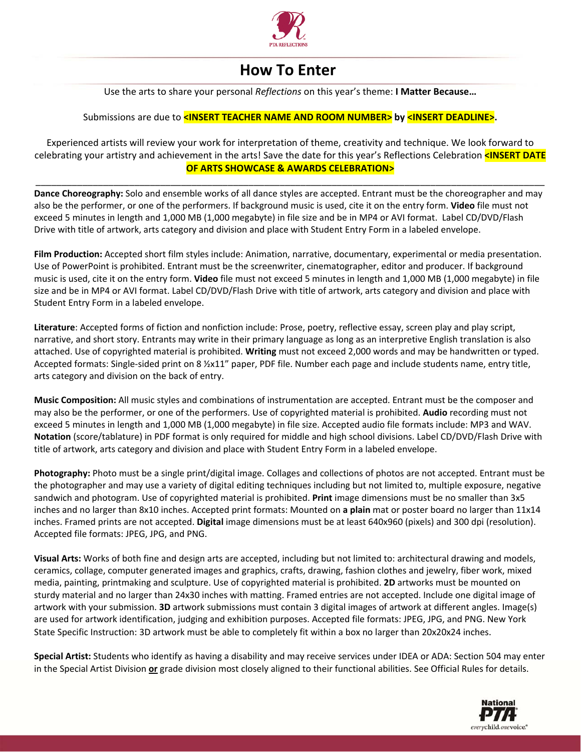

## **How To Enter**

Use the arts to share your personal *Reflections* on this year's theme: **I Matter Because…**

## Submissions are due to **<INSERT TEACHER NAME AND ROOM NUMBER> by <INSERT DEADLINE>.**

Experienced artists will review your work for interpretation of theme, creativity and technique. We look forward to celebrating your artistry and achievement in the arts! Save the date for this year's Reflections Celebration **<INSERT DATE OF ARTS SHOWCASE & AWARDS CELEBRATION>**

\_\_\_\_\_\_\_\_\_\_\_\_\_\_\_\_\_\_\_\_\_\_\_\_\_\_\_\_\_\_\_\_\_\_\_\_\_\_\_\_\_\_\_\_\_\_\_\_\_\_\_\_\_\_\_\_\_\_\_\_\_\_\_\_\_\_\_\_\_\_\_\_\_\_\_\_\_\_\_\_\_\_\_\_\_\_\_\_\_\_\_\_\_\_\_\_\_\_

**Dance Choreography:** Solo and ensemble works of all dance styles are accepted. Entrant must be the choreographer and may also be the performer, or one of the performers. If background music is used, cite it on the entry form. **Video** file must not exceed 5 minutes in length and 1,000 MB (1,000 megabyte) in file size and be in MP4 or AVI format. Label CD/DVD/Flash Drive with title of artwork, arts category and division and place with Student Entry Form in a labeled envelope.

**Film Production:** Accepted short film styles include: Animation, narrative, documentary, experimental or media presentation. Use of PowerPoint is prohibited. Entrant must be the screenwriter, cinematographer, editor and producer. If background music is used, cite it on the entry form. **Video** file must not exceed 5 minutes in length and 1,000 MB (1,000 megabyte) in file size and be in MP4 or AVI format. Label CD/DVD/Flash Drive with title of artwork, arts category and division and place with Student Entry Form in a labeled envelope.

**Literature**: Accepted forms of fiction and nonfiction include: Prose, poetry, reflective essay, screen play and play script, narrative, and short story. Entrants may write in their primary language as long as an interpretive English translation is also attached. Use of copyrighted material is prohibited. **Writing** must not exceed 2,000 words and may be handwritten or typed. Accepted formats: Single-sided print on 8 ½x11" paper, PDF file. Number each page and include students name, entry title, arts category and division on the back of entry.

**Music Composition:** All music styles and combinations of instrumentation are accepted. Entrant must be the composer and may also be the performer, or one of the performers. Use of copyrighted material is prohibited. **Audio** recording must not exceed 5 minutes in length and 1,000 MB (1,000 megabyte) in file size. Accepted audio file formats include: MP3 and WAV. **Notation** (score/tablature) in PDF format is only required for middle and high school divisions. Label CD/DVD/Flash Drive with title of artwork, arts category and division and place with Student Entry Form in a labeled envelope.

**Photography:** Photo must be a single print/digital image. Collages and collections of photos are not accepted. Entrant must be the photographer and may use a variety of digital editing techniques including but not limited to, multiple exposure, negative sandwich and photogram. Use of copyrighted material is prohibited. **Print** image dimensions must be no smaller than 3x5 inches and no larger than 8x10 inches. Accepted print formats: Mounted on **a plain** mat or poster board no larger than 11x14 inches. Framed prints are not accepted. **Digital** image dimensions must be at least 640x960 (pixels) and 300 dpi (resolution). Accepted file formats: JPEG, JPG, and PNG.

**Visual Arts:** Works of both fine and design arts are accepted, including but not limited to: architectural drawing and models, ceramics, collage, computer generated images and graphics, crafts, drawing, fashion clothes and jewelry, fiber work, mixed media, painting, printmaking and sculpture. Use of copyrighted material is prohibited. **2D** artworks must be mounted on sturdy material and no larger than 24x30 inches with matting. Framed entries are not accepted. Include one digital image of artwork with your submission. **3D** artwork submissions must contain 3 digital images of artwork at different angles. Image(s) are used for artwork identification, judging and exhibition purposes. Accepted file formats: JPEG, JPG, and PNG. New York State Specific Instruction: 3D artwork must be able to completely fit within a box no larger than 20x20x24 inches.

**Special Artist:** Students who identify as having a disability and may receive services under IDEA or ADA: Section 504 may enter in the Special Artist Division **or** grade division most closely aligned to their functional abilities. See Official Rules for details.